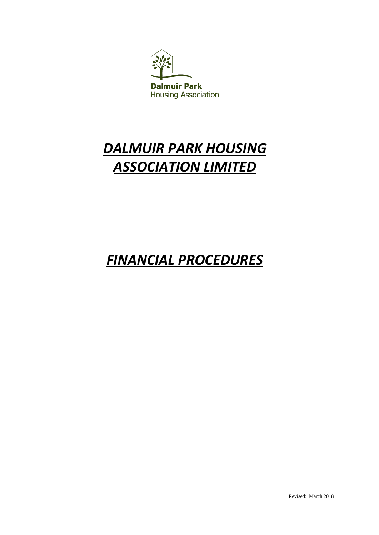

# *DALMUIR PARK HOUSING ASSOCIATION LIMITED*

## *FINANCIAL PROCEDURES*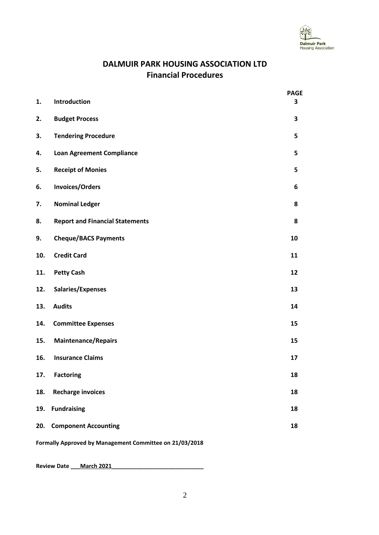

### **DALMUIR PARK HOUSING ASSOCIATION LTD Financial Procedures**

| 1.                                                      | Introduction                           | <b>PAGE</b><br>3 |  |
|---------------------------------------------------------|----------------------------------------|------------------|--|
|                                                         |                                        |                  |  |
| 2.                                                      | <b>Budget Process</b>                  | 3                |  |
| 3.                                                      | <b>Tendering Procedure</b>             | 5                |  |
| 4.                                                      | <b>Loan Agreement Compliance</b>       | 5                |  |
| 5.                                                      | <b>Receipt of Monies</b>               | 5                |  |
| 6.                                                      | <b>Invoices/Orders</b>                 | 6                |  |
| 7.                                                      | <b>Nominal Ledger</b>                  | 8                |  |
| 8.                                                      | <b>Report and Financial Statements</b> | 8                |  |
| 9.                                                      | <b>Cheque/BACS Payments</b>            | 10               |  |
| 10.                                                     | <b>Credit Card</b>                     | 11               |  |
| 11.                                                     | <b>Petty Cash</b>                      | 12               |  |
| 12.                                                     | Salaries/Expenses                      | 13               |  |
| 13.                                                     | <b>Audits</b>                          | 14               |  |
| 14.                                                     | <b>Committee Expenses</b>              | 15               |  |
| 15.                                                     | <b>Maintenance/Repairs</b>             | 15               |  |
| 16.                                                     | <b>Insurance Claims</b>                | 17               |  |
| 17.                                                     | <b>Factoring</b>                       | 18               |  |
| 18.                                                     | <b>Recharge invoices</b>               | 18               |  |
| 19.                                                     | <b>Fundraising</b>                     | 18               |  |
| 20.                                                     | <b>Component Accounting</b>            | 18               |  |
| Formally Approved by Management Committee on 21/03/2018 |                                        |                  |  |

Review Date \_\_\_March 2021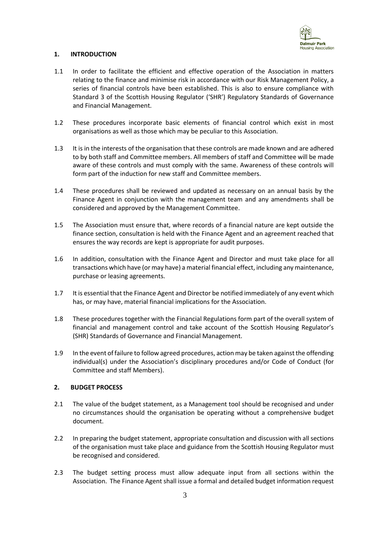

#### **1. INTRODUCTION**

- 1.1 In order to facilitate the efficient and effective operation of the Association in matters relating to the finance and minimise risk in accordance with our Risk Management Policy, a series of financial controls have been established. This is also to ensure compliance with Standard 3 of the Scottish Housing Regulator ('SHR') Regulatory Standards of Governance and Financial Management.
- 1.2 These procedures incorporate basic elements of financial control which exist in most organisations as well as those which may be peculiar to this Association.
- 1.3 It is in the interests of the organisation that these controls are made known and are adhered to by both staff and Committee members. All members of staff and Committee will be made aware of these controls and must comply with the same. Awareness of these controls will form part of the induction for new staff and Committee members.
- 1.4 These procedures shall be reviewed and updated as necessary on an annual basis by the Finance Agent in conjunction with the management team and any amendments shall be considered and approved by the Management Committee.
- 1.5 The Association must ensure that, where records of a financial nature are kept outside the finance section, consultation is held with the Finance Agent and an agreement reached that ensures the way records are kept is appropriate for audit purposes.
- 1.6 In addition, consultation with the Finance Agent and Director and must take place for all transactions which have (or may have) a material financial effect, including any maintenance, purchase or leasing agreements.
- 1.7 It is essential that the Finance Agent and Director be notified immediately of any event which has, or may have, material financial implications for the Association.
- 1.8 These procedures together with the Financial Regulations form part of the overall system of financial and management control and take account of the Scottish Housing Regulator's (SHR) Standards of Governance and Financial Management.
- 1.9 In the event of failure to follow agreed procedures, action may be taken against the offending individual(s) under the Association's disciplinary procedures and/or Code of Conduct (for Committee and staff Members).

#### **2. BUDGET PROCESS**

- 2.1 The value of the budget statement, as a Management tool should be recognised and under no circumstances should the organisation be operating without a comprehensive budget document.
- 2.2 In preparing the budget statement, appropriate consultation and discussion with all sections of the organisation must take place and guidance from the Scottish Housing Regulator must be recognised and considered.
- 2.3 The budget setting process must allow adequate input from all sections within the Association. The Finance Agent shall issue a formal and detailed budget information request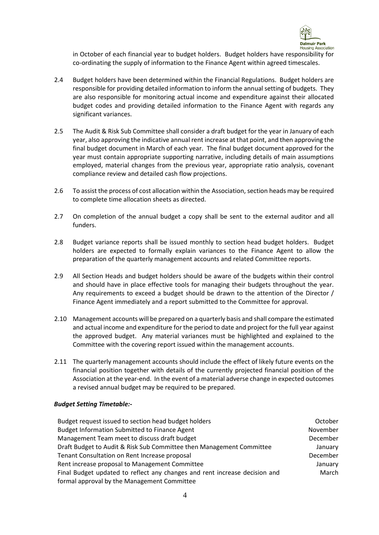

in October of each financial year to budget holders. Budget holders have responsibility for co-ordinating the supply of information to the Finance Agent within agreed timescales.

- 2.4 Budget holders have been determined within the Financial Regulations. Budget holders are responsible for providing detailed information to inform the annual setting of budgets. They are also responsible for monitoring actual income and expenditure against their allocated budget codes and providing detailed information to the Finance Agent with regards any significant variances.
- 2.5 The Audit & Risk Sub Committee shall consider a draft budget for the year in January of each year, also approving the indicative annual rent increase at that point, and then approving the final budget document in March of each year. The final budget document approved for the year must contain appropriate supporting narrative, including details of main assumptions employed, material changes from the previous year, appropriate ratio analysis, covenant compliance review and detailed cash flow projections.
- 2.6 To assist the process of cost allocation within the Association, section heads may be required to complete time allocation sheets as directed.
- 2.7 On completion of the annual budget a copy shall be sent to the external auditor and all funders.
- 2.8 Budget variance reports shall be issued monthly to section head budget holders. Budget holders are expected to formally explain variances to the Finance Agent to allow the preparation of the quarterly management accounts and related Committee reports.
- 2.9 All Section Heads and budget holders should be aware of the budgets within their control and should have in place effective tools for managing their budgets throughout the year. Any requirements to exceed a budget should be drawn to the attention of the Director / Finance Agent immediately and a report submitted to the Committee for approval.
- 2.10 Management accounts will be prepared on a quarterly basis and shall compare the estimated and actual income and expenditure for the period to date and project for the full year against the approved budget. Any material variances must be highlighted and explained to the Committee with the covering report issued within the management accounts.
- 2.11 The quarterly management accounts should include the effect of likely future events on the financial position together with details of the currently projected financial position of the Association at the year-end. In the event of a material adverse change in expected outcomes a revised annual budget may be required to be prepared.

#### *Budget Setting Timetable:-*

| Budget request issued to section head budget holders                       | October  |
|----------------------------------------------------------------------------|----------|
| <b>Budget Information Submitted to Finance Agent</b>                       | November |
| Management Team meet to discuss draft budget                               | December |
| Draft Budget to Audit & Risk Sub Committee then Management Committee       | January  |
| Tenant Consultation on Rent Increase proposal                              | December |
| Rent increase proposal to Management Committee                             | January  |
| Final Budget updated to reflect any changes and rent increase decision and | March    |
| formal approval by the Management Committee                                |          |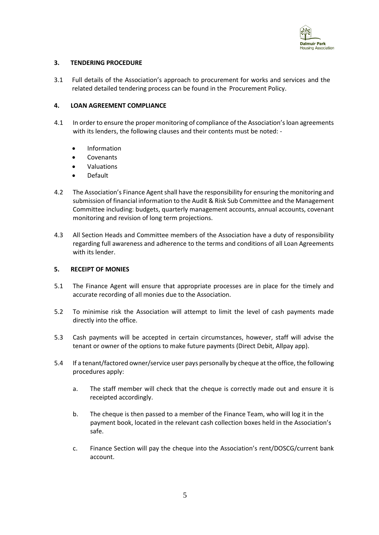

#### **3. TENDERING PROCEDURE**

3.1 Full details of the Association's approach to procurement for works and services and the related detailed tendering process can be found in the Procurement Policy.

#### **4. LOAN AGREEMENT COMPLIANCE**

- 4.1 In order to ensure the proper monitoring of compliance of the Association's loan agreements with its lenders, the following clauses and their contents must be noted: -
	- Information
	- **Covenants**
	- Valuations
	- Default
- 4.2 The Association's Finance Agent shall have the responsibility for ensuring the monitoring and submission of financial information to the Audit & Risk Sub Committee and the Management Committee including: budgets, quarterly management accounts, annual accounts, covenant monitoring and revision of long term projections.
- 4.3 All Section Heads and Committee members of the Association have a duty of responsibility regarding full awareness and adherence to the terms and conditions of all Loan Agreements with its lender.

#### **5. RECEIPT OF MONIES**

- 5.1 The Finance Agent will ensure that appropriate processes are in place for the timely and accurate recording of all monies due to the Association.
- 5.2 To minimise risk the Association will attempt to limit the level of cash payments made directly into the office.
- 5.3 Cash payments will be accepted in certain circumstances, however, staff will advise the tenant or owner of the options to make future payments (Direct Debit, Allpay app).
- 5.4 If a tenant/factored owner/service user pays personally by cheque at the office, the following procedures apply:
	- a. The staff member will check that the cheque is correctly made out and ensure it is receipted accordingly.
	- b. The cheque is then passed to a member of the Finance Team, who will log it in the payment book, located in the relevant cash collection boxes held in the Association's safe.
	- c. Finance Section will pay the cheque into the Association's rent/DOSCG/current bank account.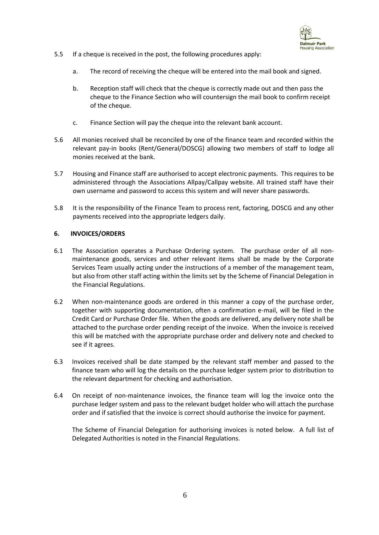

- 5.5 If a cheque is received in the post, the following procedures apply:
	- a. The record of receiving the cheque will be entered into the mail book and signed.
	- b. Reception staff will check that the cheque is correctly made out and then pass the cheque to the Finance Section who will countersign the mail book to confirm receipt of the cheque.
	- c. Finance Section will pay the cheque into the relevant bank account.
- 5.6 All monies received shall be reconciled by one of the finance team and recorded within the relevant pay-in books (Rent/General/DOSCG) allowing two members of staff to lodge all monies received at the bank.
- 5.7 Housing and Finance staff are authorised to accept electronic payments. This requires to be administered through the Associations Allpay/Callpay website. All trained staff have their own username and password to access this system and will never share passwords.
- 5.8 It is the responsibility of the Finance Team to process rent, factoring, DOSCG and any other payments received into the appropriate ledgers daily.

#### **6. INVOICES/ORDERS**

- 6.1 The Association operates a Purchase Ordering system. The purchase order of all nonmaintenance goods, services and other relevant items shall be made by the Corporate Services Team usually acting under the instructions of a member of the management team, but also from other staff acting within the limits set by the Scheme of Financial Delegation in the Financial Regulations.
- 6.2 When non-maintenance goods are ordered in this manner a copy of the purchase order, together with supporting documentation, often a confirmation e-mail, will be filed in the Credit Card or Purchase Order file. When the goods are delivered, any delivery note shall be attached to the purchase order pending receipt of the invoice. When the invoice is received this will be matched with the appropriate purchase order and delivery note and checked to see if it agrees.
- 6.3 Invoices received shall be date stamped by the relevant staff member and passed to the finance team who will log the details on the purchase ledger system prior to distribution to the relevant department for checking and authorisation.
- 6.4 On receipt of non-maintenance invoices, the finance team will log the invoice onto the purchase ledger system and pass to the relevant budget holder who will attach the purchase order and if satisfied that the invoice is correct should authorise the invoice for payment.

The Scheme of Financial Delegation for authorising invoices is noted below. A full list of Delegated Authorities is noted in the Financial Regulations.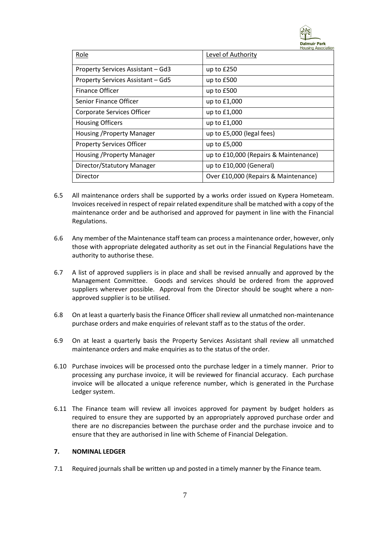

| Role                              | Level of Authority                    |
|-----------------------------------|---------------------------------------|
| Property Services Assistant - Gd3 | up to $£250$                          |
| Property Services Assistant - Gd5 | up to £500                            |
| <b>Finance Officer</b>            | up to £500                            |
| Senior Finance Officer            | up to £1,000                          |
| Corporate Services Officer        | up to £1,000                          |
| <b>Housing Officers</b>           | up to $£1,000$                        |
| Housing / Property Manager        | up to £5,000 (legal fees)             |
| <b>Property Services Officer</b>  | up to £5,000                          |
| Housing / Property Manager        | up to £10,000 (Repairs & Maintenance) |
| Director/Statutory Manager        | up to £10,000 (General)               |
| Director                          | Over £10,000 (Repairs & Maintenance)  |

- 6.5 All maintenance orders shall be supported by a works order issued on Kypera Hometeam. Invoices received in respect of repair related expenditure shall be matched with a copy of the maintenance order and be authorised and approved for payment in line with the Financial Regulations.
- 6.6 Any member of the Maintenance staff team can process a maintenance order, however, only those with appropriate delegated authority as set out in the Financial Regulations have the authority to authorise these.
- 6.7 A list of approved suppliers is in place and shall be revised annually and approved by the Management Committee. Goods and services should be ordered from the approved suppliers wherever possible. Approval from the Director should be sought where a nonapproved supplier is to be utilised.
- 6.8 On at least a quarterly basis the Finance Officer shall review all unmatched non-maintenance purchase orders and make enquiries of relevant staff as to the status of the order.
- 6.9 On at least a quarterly basis the Property Services Assistant shall review all unmatched maintenance orders and make enquiries as to the status of the order.
- 6.10 Purchase invoices will be processed onto the purchase ledger in a timely manner. Prior to processing any purchase invoice, it will be reviewed for financial accuracy. Each purchase invoice will be allocated a unique reference number, which is generated in the Purchase Ledger system.
- 6.11 The Finance team will review all invoices approved for payment by budget holders as required to ensure they are supported by an appropriately approved purchase order and there are no discrepancies between the purchase order and the purchase invoice and to ensure that they are authorised in line with Scheme of Financial Delegation.

#### **7. NOMINAL LEDGER**

7.1 Required journals shall be written up and posted in a timely manner by the Finance team.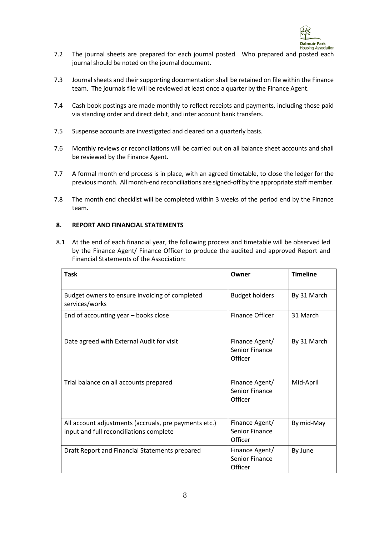

- 7.2 The journal sheets are prepared for each journal posted. Who prepared and posted each journal should be noted on the journal document.
- 7.3 Journal sheets and their supporting documentation shall be retained on file within the Finance team. The journals file will be reviewed at least once a quarter by the Finance Agent.
- 7.4 Cash book postings are made monthly to reflect receipts and payments, including those paid via standing order and direct debit, and inter account bank transfers.
- 7.5 Suspense accounts are investigated and cleared on a quarterly basis.
- 7.6 Monthly reviews or reconciliations will be carried out on all balance sheet accounts and shall be reviewed by the Finance Agent.
- 7.7 A formal month end process is in place, with an agreed timetable, to close the ledger for the previous month. All month-end reconciliations are signed-off by the appropriate staff member.
- 7.8 The month end checklist will be completed within 3 weeks of the period end by the Finance team.

#### **8. REPORT AND FINANCIAL STATEMENTS**

8.1 At the end of each financial year, the following process and timetable will be observed led by the Finance Agent/ Finance Officer to produce the audited and approved Report and Financial Statements of the Association:

| <b>Task</b>                                                                                      | Owner                                              | <b>Timeline</b> |
|--------------------------------------------------------------------------------------------------|----------------------------------------------------|-----------------|
| Budget owners to ensure invoicing of completed<br>services/works                                 | <b>Budget holders</b>                              | By 31 March     |
| End of accounting year - books close                                                             | <b>Finance Officer</b>                             | 31 March        |
| Date agreed with External Audit for visit                                                        | Finance Agent/<br>Senior Finance<br>Officer        | By 31 March     |
| Trial balance on all accounts prepared                                                           | Finance Agent/<br><b>Senior Finance</b><br>Officer | Mid-April       |
| All account adjustments (accruals, pre payments etc.)<br>input and full reconciliations complete | Finance Agent/<br><b>Senior Finance</b><br>Officer | By mid-May      |
| Draft Report and Financial Statements prepared                                                   | Finance Agent/<br><b>Senior Finance</b><br>Officer | By June         |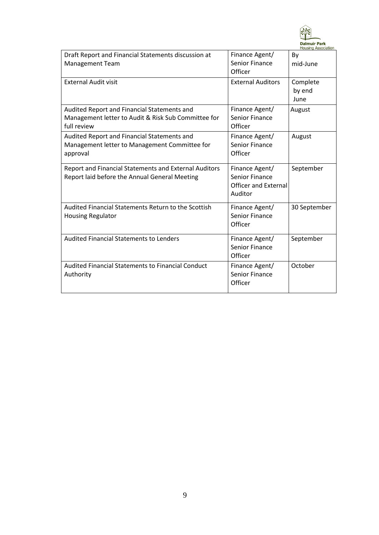

| Draft Report and Financial Statements discussion at   | Finance Agent/              | By           |
|-------------------------------------------------------|-----------------------------|--------------|
| <b>Management Team</b>                                | <b>Senior Finance</b>       | mid-June     |
|                                                       | Officer                     |              |
| <b>External Audit visit</b>                           | <b>External Auditors</b>    | Complete     |
|                                                       |                             | by end       |
|                                                       |                             | June         |
| Audited Report and Financial Statements and           | Finance Agent/              | August       |
| Management letter to Audit & Risk Sub Committee for   | <b>Senior Finance</b>       |              |
| full review                                           | Officer                     |              |
| Audited Report and Financial Statements and           | Finance Agent/              | August       |
| Management letter to Management Committee for         | <b>Senior Finance</b>       |              |
| approval                                              | Officer                     |              |
| Report and Financial Statements and External Auditors | Finance Agent/              | September    |
| Report laid before the Annual General Meeting         | <b>Senior Finance</b>       |              |
|                                                       | <b>Officer and External</b> |              |
|                                                       | Auditor                     |              |
| Audited Financial Statements Return to the Scottish   | Finance Agent/              | 30 September |
| <b>Housing Regulator</b>                              | <b>Senior Finance</b>       |              |
|                                                       | Officer                     |              |
| <b>Audited Financial Statements to Lenders</b>        | Finance Agent/              | September    |
|                                                       | <b>Senior Finance</b>       |              |
|                                                       | Officer                     |              |
| Audited Financial Statements to Financial Conduct     | Finance Agent/              | October      |
| Authority                                             | <b>Senior Finance</b>       |              |
|                                                       | Officer                     |              |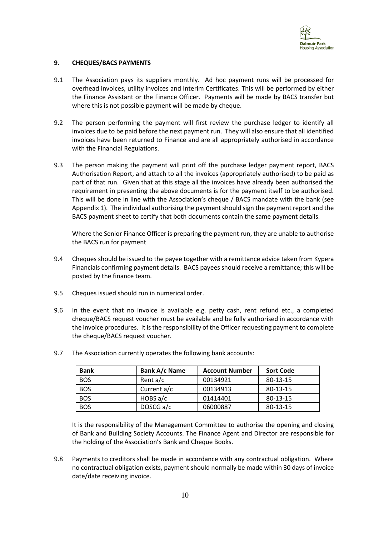

#### **9. CHEQUES/BACS PAYMENTS**

- 9.1 The Association pays its suppliers monthly. Ad hoc payment runs will be processed for overhead invoices, utility invoices and Interim Certificates. This will be performed by either the Finance Assistant or the Finance Officer. Payments will be made by BACS transfer but where this is not possible payment will be made by cheque.
- 9.2 The person performing the payment will first review the purchase ledger to identify all invoices due to be paid before the next payment run. They will also ensure that all identified invoices have been returned to Finance and are all appropriately authorised in accordance with the Financial Regulations.
- 9.3 The person making the payment will print off the purchase ledger payment report, BACS Authorisation Report, and attach to all the invoices (appropriately authorised) to be paid as part of that run. Given that at this stage all the invoices have already been authorised the requirement in presenting the above documents is for the payment itself to be authorised. This will be done in line with the Association's cheque / BACS mandate with the bank (see Appendix 1). The individual authorising the payment should sign the payment report and the BACS payment sheet to certify that both documents contain the same payment details.

Where the Senior Finance Officer is preparing the payment run, they are unable to authorise the BACS run for payment

- 9.4 Cheques should be issued to the payee together with a remittance advice taken from Kypera Financials confirming payment details. BACS payees should receive a remittance; this will be posted by the finance team.
- 9.5 Cheques issued should run in numerical order.
- 9.6 In the event that no invoice is available e.g. petty cash, rent refund etc., a completed cheque/BACS request voucher must be available and be fully authorised in accordance with the invoice procedures. It is the responsibility of the Officer requesting payment to complete the cheque/BACS request voucher.

| <b>Bank</b> | Bank A/c Name | <b>Account Number</b> | <b>Sort Code</b> |
|-------------|---------------|-----------------------|------------------|
| <b>BOS</b>  | Rent $a/c$    | 00134921              | 80-13-15         |
| <b>BOS</b>  | Current a/c   | 00134913              | 80-13-15         |
| <b>BOS</b>  | HOBS $a/c$    | 01414401              | 80-13-15         |
| <b>BOS</b>  | DOSCG a/c     | 06000887              | 80-13-15         |

9.7 The Association currently operates the following bank accounts:

It is the responsibility of the Management Committee to authorise the opening and closing of Bank and Building Society Accounts. The Finance Agent and Director are responsible for the holding of the Association's Bank and Cheque Books.

9.8 Payments to creditors shall be made in accordance with any contractual obligation. Where no contractual obligation exists, payment should normally be made within 30 days of invoice date/date receiving invoice.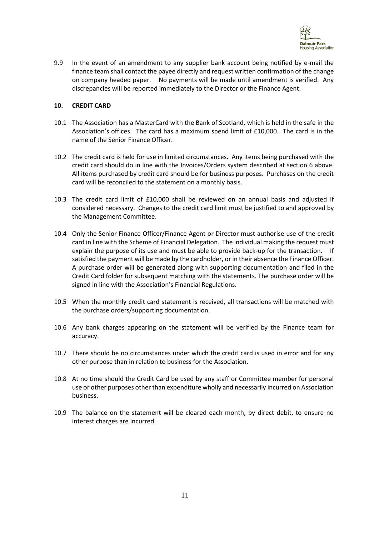

9.9 In the event of an amendment to any supplier bank account being notified by e-mail the finance team shall contact the payee directly and request written confirmation of the change on company headed paper. No payments will be made until amendment is verified. Any discrepancies will be reported immediately to the Director or the Finance Agent.

#### **10. CREDIT CARD**

- 10.1 The Association has a MasterCard with the Bank of Scotland, which is held in the safe in the Association's offices. The card has a maximum spend limit of £10,000. The card is in the name of the Senior Finance Officer.
- 10.2 The credit card is held for use in limited circumstances. Any items being purchased with the credit card should do in line with the Invoices/Orders system described at section 6 above. All items purchased by credit card should be for business purposes. Purchases on the credit card will be reconciled to the statement on a monthly basis.
- 10.3 The credit card limit of £10,000 shall be reviewed on an annual basis and adjusted if considered necessary. Changes to the credit card limit must be justified to and approved by the Management Committee.
- 10.4 Only the Senior Finance Officer/Finance Agent or Director must authorise use of the credit card in line with the Scheme of Financial Delegation. The individual making the request must explain the purpose of its use and must be able to provide back-up for the transaction. If satisfied the payment will be made by the cardholder, or in their absence the Finance Officer. A purchase order will be generated along with supporting documentation and filed in the Credit Card folder for subsequent matching with the statements. The purchase order will be signed in line with the Association's Financial Regulations.
- 10.5 When the monthly credit card statement is received, all transactions will be matched with the purchase orders/supporting documentation.
- 10.6 Any bank charges appearing on the statement will be verified by the Finance team for accuracy.
- 10.7 There should be no circumstances under which the credit card is used in error and for any other purpose than in relation to business for the Association.
- 10.8 At no time should the Credit Card be used by any staff or Committee member for personal use or other purposes other than expenditure wholly and necessarily incurred on Association business.
- 10.9 The balance on the statement will be cleared each month, by direct debit, to ensure no interest charges are incurred.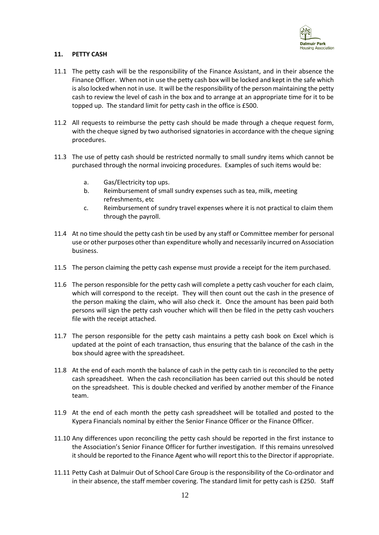

#### **11. PETTY CASH**

- 11.1 The petty cash will be the responsibility of the Finance Assistant, and in their absence the Finance Officer. When not in use the petty cash box will be locked and kept in the safe which is also locked when not in use. It will be the responsibility of the person maintaining the petty cash to review the level of cash in the box and to arrange at an appropriate time for it to be topped up. The standard limit for petty cash in the office is £500.
- 11.2 All requests to reimburse the petty cash should be made through a cheque request form, with the cheque signed by two authorised signatories in accordance with the cheque signing procedures.
- 11.3 The use of petty cash should be restricted normally to small sundry items which cannot be purchased through the normal invoicing procedures. Examples of such items would be:
	- a. Gas/Electricity top ups.
	- b. Reimbursement of small sundry expenses such as tea, milk, meeting refreshments, etc
	- c. Reimbursement of sundry travel expenses where it is not practical to claim them through the payroll.
- 11.4 At no time should the petty cash tin be used by any staff or Committee member for personal use or other purposes other than expenditure wholly and necessarily incurred on Association business.
- 11.5 The person claiming the petty cash expense must provide a receipt for the item purchased.
- 11.6 The person responsible for the petty cash will complete a petty cash voucher for each claim, which will correspond to the receipt. They will then count out the cash in the presence of the person making the claim, who will also check it. Once the amount has been paid both persons will sign the petty cash voucher which will then be filed in the petty cash vouchers file with the receipt attached.
- 11.7 The person responsible for the petty cash maintains a petty cash book on Excel which is updated at the point of each transaction, thus ensuring that the balance of the cash in the box should agree with the spreadsheet.
- 11.8 At the end of each month the balance of cash in the petty cash tin is reconciled to the petty cash spreadsheet. When the cash reconciliation has been carried out this should be noted on the spreadsheet. This is double checked and verified by another member of the Finance team.
- 11.9 At the end of each month the petty cash spreadsheet will be totalled and posted to the Kypera Financials nominal by either the Senior Finance Officer or the Finance Officer.
- 11.10 Any differences upon reconciling the petty cash should be reported in the first instance to the Association's Senior Finance Officer for further investigation. If this remains unresolved it should be reported to the Finance Agent who will report this to the Director if appropriate.
- 11.11 Petty Cash at Dalmuir Out of School Care Group is the responsibility of the Co-ordinator and in their absence, the staff member covering. The standard limit for petty cash is £250. Staff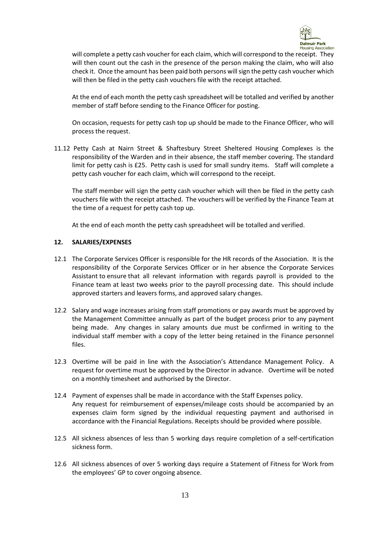

will complete a petty cash voucher for each claim, which will correspond to the receipt. They will then count out the cash in the presence of the person making the claim, who will also check it. Once the amount has been paid both persons will sign the petty cash voucher which will then be filed in the petty cash vouchers file with the receipt attached.

At the end of each month the petty cash spreadsheet will be totalled and verified by another member of staff before sending to the Finance Officer for posting.

On occasion, requests for petty cash top up should be made to the Finance Officer, who will process the request.

11.12 Petty Cash at Nairn Street & Shaftesbury Street Sheltered Housing Complexes is the responsibility of the Warden and in their absence, the staff member covering. The standard limit for petty cash is £25. Petty cash is used for small sundry items. Staff will complete a petty cash voucher for each claim, which will correspond to the receipt.

The staff member will sign the petty cash voucher which will then be filed in the petty cash vouchers file with the receipt attached. The vouchers will be verified by the Finance Team at the time of a request for petty cash top up.

At the end of each month the petty cash spreadsheet will be totalled and verified.

#### **12. SALARIES/EXPENSES**

- 12.1 The Corporate Services Officer is responsible for the HR records of the Association. It is the responsibility of the Corporate Services Officer or in her absence the Corporate Services Assistant to ensure that all relevant information with regards payroll is provided to the Finance team at least two weeks prior to the payroll processing date. This should include approved starters and leavers forms, and approved salary changes.
- 12.2 Salary and wage increases arising from staff promotions or pay awards must be approved by the Management Committee annually as part of the budget process prior to any payment being made. Any changes in salary amounts due must be confirmed in writing to the individual staff member with a copy of the letter being retained in the Finance personnel files.
- 12.3 Overtime will be paid in line with the Association's Attendance Management Policy. A request for overtime must be approved by the Director in advance. Overtime will be noted on a monthly timesheet and authorised by the Director.
- 12.4 Payment of expenses shall be made in accordance with the Staff Expenses policy. Any request for reimbursement of expenses/mileage costs should be accompanied by an expenses claim form signed by the individual requesting payment and authorised in accordance with the Financial Regulations. Receipts should be provided where possible.
- 12.5 All sickness absences of less than 5 working days require completion of a self-certification sickness form.
- 12.6 All sickness absences of over 5 working days require a Statement of Fitness for Work from the employees' GP to cover ongoing absence.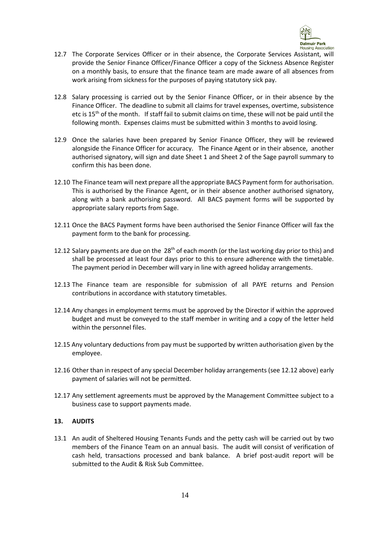

- 12.7 The Corporate Services Officer or in their absence, the Corporate Services Assistant, will provide the Senior Finance Officer/Finance Officer a copy of the Sickness Absence Register on a monthly basis, to ensure that the finance team are made aware of all absences from work arising from sickness for the purposes of paying statutory sick pay.
- 12.8 Salary processing is carried out by the Senior Finance Officer, or in their absence by the Finance Officer. The deadline to submit all claims for travel expenses, overtime, subsistence etc is  $15<sup>th</sup>$  of the month. If staff fail to submit claims on time, these will not be paid until the following month. Expenses claims must be submitted within 3 months to avoid losing.
- 12.9 Once the salaries have been prepared by Senior Finance Officer, they will be reviewed alongside the Finance Officer for accuracy. The Finance Agent or in their absence, another authorised signatory, will sign and date Sheet 1 and Sheet 2 of the Sage payroll summary to confirm this has been done.
- 12.10 The Finance team will next prepare all the appropriate BACS Payment form for authorisation. This is authorised by the Finance Agent, or in their absence another authorised signatory, along with a bank authorising password. All BACS payment forms will be supported by appropriate salary reports from Sage.
- 12.11 Once the BACS Payment forms have been authorised the Senior Finance Officer will fax the payment form to the bank for processing.
- 12.12 Salary payments are due on the  $28<sup>th</sup>$  of each month (or the last working day prior to this) and shall be processed at least four days prior to this to ensure adherence with the timetable. The payment period in December will vary in line with agreed holiday arrangements.
- 12.13 The Finance team are responsible for submission of all PAYE returns and Pension contributions in accordance with statutory timetables.
- 12.14 Any changes in employment terms must be approved by the Director if within the approved budget and must be conveyed to the staff member in writing and a copy of the letter held within the personnel files.
- 12.15 Any voluntary deductions from pay must be supported by written authorisation given by the employee.
- 12.16 Other than in respect of any special December holiday arrangements (see 12.12 above) early payment of salaries will not be permitted.
- 12.17 Any settlement agreements must be approved by the Management Committee subject to a business case to support payments made.

#### **13. AUDITS**

13.1 An audit of Sheltered Housing Tenants Funds and the petty cash will be carried out by two members of the Finance Team on an annual basis. The audit will consist of verification of cash held, transactions processed and bank balance. A brief post-audit report will be submitted to the Audit & Risk Sub Committee.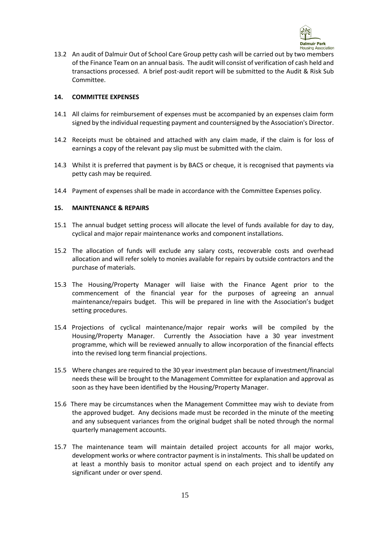

13.2 An audit of Dalmuir Out of School Care Group petty cash will be carried out by two members of the Finance Team on an annual basis. The audit will consist of verification of cash held and transactions processed. A brief post-audit report will be submitted to the Audit & Risk Sub Committee.

#### **14. COMMITTEE EXPENSES**

- 14.1 All claims for reimbursement of expenses must be accompanied by an expenses claim form signed by the individual requesting payment and countersigned by the Association's Director.
- 14.2 Receipts must be obtained and attached with any claim made, if the claim is for loss of earnings a copy of the relevant pay slip must be submitted with the claim.
- 14.3 Whilst it is preferred that payment is by BACS or cheque, it is recognised that payments via petty cash may be required.
- 14.4 Payment of expenses shall be made in accordance with the Committee Expenses policy.

#### **15. MAINTENANCE & REPAIRS**

- 15.1 The annual budget setting process will allocate the level of funds available for day to day, cyclical and major repair maintenance works and component installations.
- 15.2 The allocation of funds will exclude any salary costs, recoverable costs and overhead allocation and will refer solely to monies available for repairs by outside contractors and the purchase of materials.
- 15.3 The Housing/Property Manager will liaise with the Finance Agent prior to the commencement of the financial year for the purposes of agreeing an annual maintenance/repairs budget. This will be prepared in line with the Association's budget setting procedures.
- 15.4 Projections of cyclical maintenance/major repair works will be compiled by the Housing/Property Manager. Currently the Association have a 30 year investment programme, which will be reviewed annually to allow incorporation of the financial effects into the revised long term financial projections.
- 15.5 Where changes are required to the 30 year investment plan because of investment/financial needs these will be brought to the Management Committee for explanation and approval as soon as they have been identified by the Housing/Property Manager.
- 15.6 There may be circumstances when the Management Committee may wish to deviate from the approved budget. Any decisions made must be recorded in the minute of the meeting and any subsequent variances from the original budget shall be noted through the normal quarterly management accounts.
- 15.7 The maintenance team will maintain detailed project accounts for all major works, development works or where contractor payment is in instalments. This shall be updated on at least a monthly basis to monitor actual spend on each project and to identify any significant under or over spend.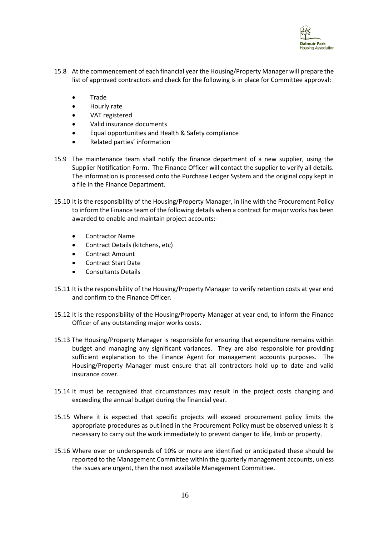

- 15.8 At the commencement of each financial year the Housing/Property Manager will prepare the list of approved contractors and check for the following is in place for Committee approval:
	- Trade
	- Hourly rate
	- VAT registered
	- Valid insurance documents
	- Equal opportunities and Health & Safety compliance
	- Related parties' information
- 15.9 The maintenance team shall notify the finance department of a new supplier, using the Supplier Notification Form. The Finance Officer will contact the supplier to verify all details. The information is processed onto the Purchase Ledger System and the original copy kept in a file in the Finance Department.
- 15.10 It is the responsibility of the Housing/Property Manager, in line with the Procurement Policy to inform the Finance team of the following details when a contract for major works has been awarded to enable and maintain project accounts:-
	- Contractor Name
	- Contract Details (kitchens, etc)
	- Contract Amount
	- Contract Start Date
	- Consultants Details
- 15.11 It is the responsibility of the Housing/Property Manager to verify retention costs at year end and confirm to the Finance Officer.
- 15.12 It is the responsibility of the Housing/Property Manager at year end, to inform the Finance Officer of any outstanding major works costs.
- 15.13 The Housing/Property Manager is responsible for ensuring that expenditure remains within budget and managing any significant variances. They are also responsible for providing sufficient explanation to the Finance Agent for management accounts purposes. The Housing/Property Manager must ensure that all contractors hold up to date and valid insurance cover.
- 15.14 It must be recognised that circumstances may result in the project costs changing and exceeding the annual budget during the financial year.
- 15.15 Where it is expected that specific projects will exceed procurement policy limits the appropriate procedures as outlined in the Procurement Policy must be observed unless it is necessary to carry out the work immediately to prevent danger to life, limb or property.
- 15.16 Where over or underspends of 10% or more are identified or anticipated these should be reported to the Management Committee within the quarterly management accounts, unless the issues are urgent, then the next available Management Committee.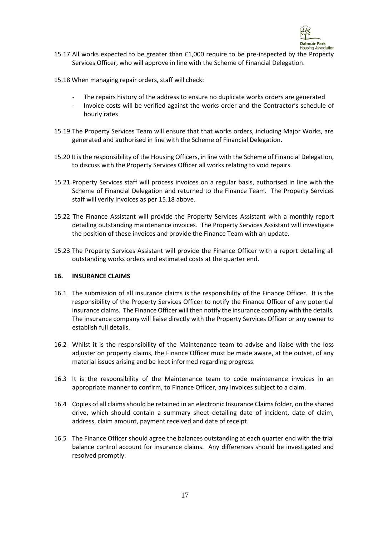

- 15.17 All works expected to be greater than £1,000 require to be pre-inspected by the Property Services Officer, who will approve in line with the Scheme of Financial Delegation.
- 15.18 When managing repair orders, staff will check:
	- The repairs history of the address to ensure no duplicate works orders are generated
	- Invoice costs will be verified against the works order and the Contractor's schedule of hourly rates
- 15.19 The Property Services Team will ensure that that works orders, including Major Works, are generated and authorised in line with the Scheme of Financial Delegation.
- 15.20 It is the responsibility of the Housing Officers, in line with the Scheme of Financial Delegation, to discuss with the Property Services Officer all works relating to void repairs.
- 15.21 Property Services staff will process invoices on a regular basis, authorised in line with the Scheme of Financial Delegation and returned to the Finance Team. The Property Services staff will verify invoices as per 15.18 above.
- 15.22 The Finance Assistant will provide the Property Services Assistant with a monthly report detailing outstanding maintenance invoices. The Property Services Assistant will investigate the position of these invoices and provide the Finance Team with an update.
- 15.23 The Property Services Assistant will provide the Finance Officer with a report detailing all outstanding works orders and estimated costs at the quarter end.

#### **16. INSURANCE CLAIMS**

- 16.1 The submission of all insurance claims is the responsibility of the Finance Officer. It is the responsibility of the Property Services Officer to notify the Finance Officer of any potential insurance claims. The Finance Officer will then notify the insurance company with the details. The insurance company will liaise directly with the Property Services Officer or any owner to establish full details.
- 16.2 Whilst it is the responsibility of the Maintenance team to advise and liaise with the loss adjuster on property claims, the Finance Officer must be made aware, at the outset, of any material issues arising and be kept informed regarding progress.
- 16.3 It is the responsibility of the Maintenance team to code maintenance invoices in an appropriate manner to confirm, to Finance Officer, any invoices subject to a claim.
- 16.4 Copies of all claims should be retained in an electronic Insurance Claims folder, on the shared drive, which should contain a summary sheet detailing date of incident, date of claim, address, claim amount, payment received and date of receipt.
- 16.5 The Finance Officer should agree the balances outstanding at each quarter end with the trial balance control account for insurance claims. Any differences should be investigated and resolved promptly.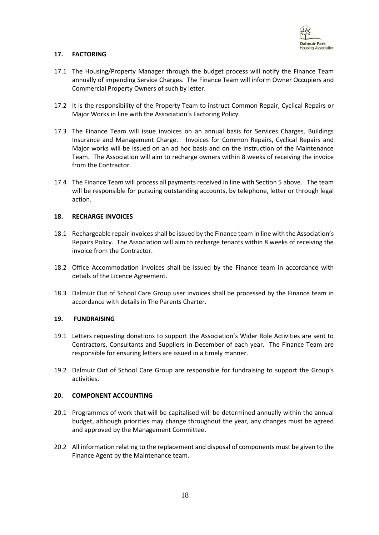

#### **17. FACTORING**

- 17.1 The Housing/Property Manager through the budget process will notify the Finance Team annually of impending Service Charges. The Finance Team will inform Owner Occupiers and Commercial Property Owners of such by letter.
- 17.2 It is the responsibility of the Property Team to instruct Common Repair, Cyclical Repairs or Major Works in line with the Association's Factoring Policy.
- 17.3 The Finance Team will issue invoices on an annual basis for Services Charges, Buildings Insurance and Management Charge. Invoices for Common Repairs, Cyclical Repairs and Major works will be issued on an ad hoc basis and on the instruction of the Maintenance Team. The Association will aim to recharge owners within 8 weeks of receiving the invoice from the Contractor.
- 17.4 The Finance Team will process all payments received in line with Section 5 above. The team will be responsible for pursuing outstanding accounts, by telephone, letter or through legal action.

#### **18. RECHARGE INVOICES**

- 18.1 Rechargeable repair invoices shall be issued by the Finance team in line with the Association's Repairs Policy. The Association will aim to recharge tenants within 8 weeks of receiving the invoice from the Contractor.
- 18.2 Office Accommodation invoices shall be issued by the Finance team in accordance with details of the Licence Agreement.
- 18.3 Dalmuir Out of School Care Group user invoices shall be processed by the Finance team in accordance with details in The Parents Charter.

#### **19. FUNDRAISING**

- 19.1 Letters requesting donations to support the Association's Wider Role Activities are sent to Contractors, Consultants and Suppliers in December of each year. The Finance Team are responsible for ensuring letters are issued in a timely manner.
- 19.2 Dalmuir Out of School Care Group are responsible for fundraising to support the Group's activities.

#### **20. COMPONENT ACCOUNTING**

- 20.1 Programmes of work that will be capitalised will be determined annually within the annual budget, although priorities may change throughout the year, any changes must be agreed and approved by the Management Committee.
- 20.2 All information relating to the replacement and disposal of components must be given to the Finance Agent by the Maintenance team.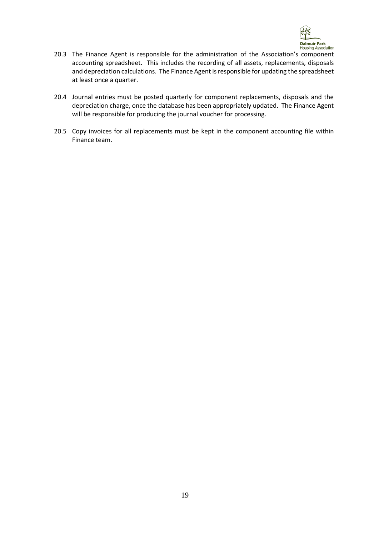

- 20.3 The Finance Agent is responsible for the administration of the Association's component accounting spreadsheet. This includes the recording of all assets, replacements, disposals and depreciation calculations. The Finance Agent is responsible for updating the spreadsheet at least once a quarter.
- 20.4 Journal entries must be posted quarterly for component replacements, disposals and the depreciation charge, once the database has been appropriately updated. The Finance Agent will be responsible for producing the journal voucher for processing.
- 20.5 Copy invoices for all replacements must be kept in the component accounting file within Finance team.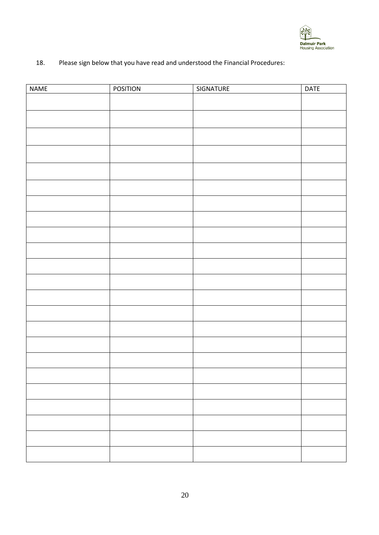

#### 18. Please sign below that you have read and understood the Financial Procedures:

| <b>NAME</b> | <b>POSITION</b> | SIGNATURE | <b>DATE</b> |
|-------------|-----------------|-----------|-------------|
|             |                 |           |             |
|             |                 |           |             |
|             |                 |           |             |
|             |                 |           |             |
|             |                 |           |             |
|             |                 |           |             |
|             |                 |           |             |
|             |                 |           |             |
|             |                 |           |             |
|             |                 |           |             |
|             |                 |           |             |
|             |                 |           |             |
|             |                 |           |             |
|             |                 |           |             |
|             |                 |           |             |
|             |                 |           |             |
|             |                 |           |             |
|             |                 |           |             |
|             |                 |           |             |
|             |                 |           |             |
|             |                 |           |             |
|             |                 |           |             |
|             |                 |           |             |
|             |                 |           |             |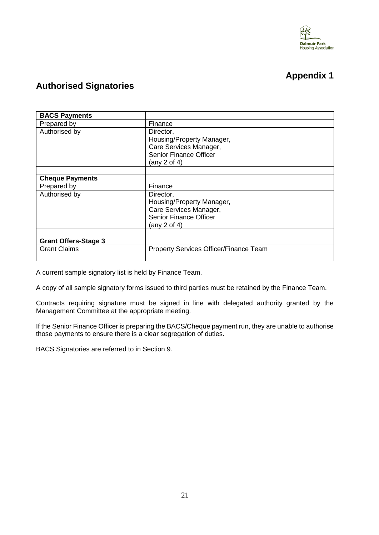

## **Appendix 1**

### **Authorised Signatories**

| <b>BACS Payments</b>        |                                        |  |
|-----------------------------|----------------------------------------|--|
| Prepared by                 | Finance                                |  |
| Authorised by               | Director,                              |  |
|                             | Housing/Property Manager,              |  |
|                             | Care Services Manager,                 |  |
|                             | <b>Senior Finance Officer</b>          |  |
|                             | (any 2 of 4)                           |  |
|                             |                                        |  |
| <b>Cheque Payments</b>      |                                        |  |
| Prepared by                 | Finance                                |  |
| Authorised by               | Director,                              |  |
|                             | Housing/Property Manager,              |  |
|                             | Care Services Manager,                 |  |
|                             | <b>Senior Finance Officer</b>          |  |
|                             | (any 2 of 4)                           |  |
|                             |                                        |  |
| <b>Grant Offers-Stage 3</b> |                                        |  |
| <b>Grant Claims</b>         | Property Services Officer/Finance Team |  |
|                             |                                        |  |

A current sample signatory list is held by Finance Team.

A copy of all sample signatory forms issued to third parties must be retained by the Finance Team.

Contracts requiring signature must be signed in line with delegated authority granted by the Management Committee at the appropriate meeting.

If the Senior Finance Officer is preparing the BACS/Cheque payment run, they are unable to authorise those payments to ensure there is a clear segregation of duties.

BACS Signatories are referred to in Section 9.